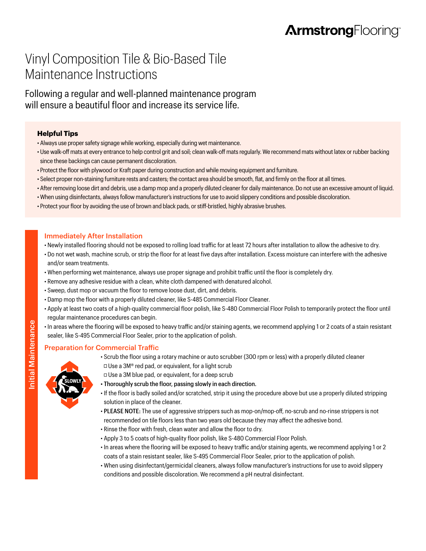# Vinyl Composition Tile & Bio-Based Tile Maintenance Instructions

Following a regular and well-planned maintenance program will ensure a beautiful floor and increase its service life.

### **Helpful Tips**

- Always use proper safety signage while working, especially during wet maintenance.
- Use walk-off mats at every entrance to help control grit and soil; clean walk-off mats regularly. We recommend mats without latex or rubber backing since these backings can cause permanent discoloration.
- Protect the floor with plywood or Kraft paper during construction and while moving equipment and furniture.
- Select proper non-staining furniture rests and casters; the contact area should be smooth, flat, and firmly on the floor at all times.
- After removing loose dirt and debris, use a damp mop and a properly diluted cleaner for daily maintenance. Do not use an excessive amount of liquid.
- When using disinfectants, always follow manufacturer's instructions for use to avoid slippery conditions and possible discoloration.
- Protect your floor by avoiding the use of brown and black pads, or stiff-bristled, highly abrasive brushes.

## Immediately After Installation

- Newly installed flooring should not be exposed to rolling load traffic for at least 72 hours after installation to allow the adhesive to dry.
- Do not wet wash, machine scrub, or strip the floor for at least five days after installation. Excess moisture can interfere with the adhesive and/or seam treatments.
- When performing wet maintenance, always use proper signage and prohibit traffic until the floor is completely dry.
- Remove any adhesive residue with a clean, white cloth dampened with denatured alcohol.
- Sweep, dust mop or vacuum the floor to remove loose dust, dirt, and debris.
- Damp mop the floor with a properly diluted cleaner, like S-485 Commercial Floor Cleaner.
- Apply at least two coats of a high-quality commercial floor polish, like S-480 Commercial Floor Polish to temporarily protect the floor until regular maintenance procedures can begin.
- In areas where the flooring will be exposed to heavy traffic and/or staining agents, we recommend applying 1 or 2 coats of a stain resistant sealer, like S-495 Commercial Floor Sealer, prior to the application of polish.

# Preparation for Commercial Traffic

- Scrub the floor using a rotary machine or auto scrubber (300 rpm or less) with a properly diluted cleaner  $\Box$  Use a 3M® red pad, or equivalent, for a light scrub
- **SLOWLY**
- Use a 3M blue pad, or equivalent, for a deep scrub
- Thoroughly scrub the floor, passing slowly in each direction.
- If the floor is badly soiled and/or scratched, strip it using the procedure above but use a properly diluted stripping solution in place of the cleaner.
- PLEASE NOTE: The use of aggressive strippers such as mop-on/mop-off, no-scrub and no-rinse strippers is not recommended on tile floors less than two years old because they may affect the adhesive bond.
- Rinse the floor with fresh, clean water and allow the floor to dry.
- Apply 3 to 5 coats of high-quality floor polish, like S-480 Commercial Floor Polish.
- In areas where the flooring will be exposed to heavy traffic and/or staining agents, we recommend applying 1 or 2 coats of a stain resistant sealer, like S-495 Commercial Floor Sealer, prior to the application of polish.
- When using disinfectant/germicidal cleaners, always follow manufacturer's instructions for use to avoid slippery conditions and possible discoloration. We recommend a pH neutral disinfectant.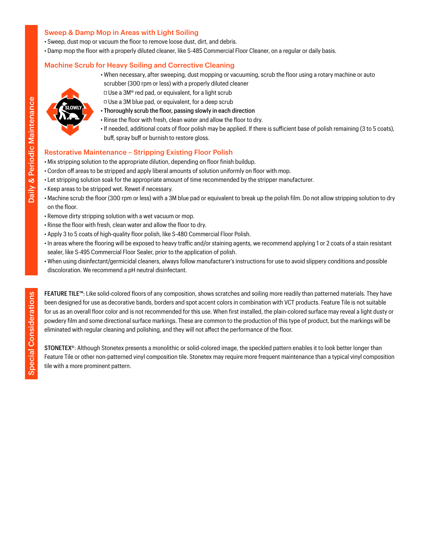### Sweep & Damp Mop in Areas with Light Soiling

- Sweep, dust mop or vacuum the floor to remove loose dust, dirt, and debris.
- Damp mop the floor with a properly diluted cleaner, like S-485 Commercial Floor Cleaner, on a regular or daily basis.

### Machine Scrub for Heavy Soiling and Corrective Cleaning

• When necessary, after sweeping, dust mopping or vacuuming, scrub the floor using a rotary machine or auto scrubber (300 rpm or less) with a properly diluted cleaner



- $\Box$  Use a 3M® red pad, or equivalent, for a light scrub □ Use a 3M blue pad, or equivalent, for a deep scrub
- Thoroughly scrub the floor, passing slowly in each direction
- Rinse the floor with fresh, clean water and allow the floor to dry.
- If needed, additional coats of floor polish may be applied. If there is sufficient base of polish remaining (3 to 5 coats), buff, spray buff or burnish to restore gloss.

#### Restorative Maintenance – Stripping Existing Floor Polish

- Mix stripping solution to the appropriate dilution, depending on floor finish buildup.
- Cordon off areas to be stripped and apply liberal amounts of solution uniformly on floor with mop.
- Let stripping solution soak for the appropriate amount of time recommended by the stripper manufacturer.
- Keep areas to be stripped wet. Rewet if necessary.
- Machine scrub the floor (300 rpm or less) with a 3M blue pad or equivalent to break up the polish film. Do not allow stripping solution to dry on the floor.
- Remove dirty stripping solution with a wet vacuum or mop.
- Rinse the floor with fresh, clean water and allow the floor to dry.
- Apply 3 to 5 coats of high-quality floor polish, like S-480 Commercial Floor Polish.
- In areas where the flooring will be exposed to heavy traffic and/or staining agents, we recommend applying 1 or 2 coats of a stain resistant sealer, like S-495 Commercial Floor Sealer, prior to the application of polish.
- When using disinfectant/germicidal cleaners, always follow manufacturer's instructions for use to avoid slippery conditions and possible discoloration. We recommend a pH neutral disinfectant.

FEATURE TILE™: Like solid-colored floors of any composition, shows scratches and soiling more readily than patterned materials. They have been designed for use as decorative bands, borders and spot accent colors in combination with VCT products. Feature Tile is not suitable for us as an overall floor color and is not recommended for this use. When first installed, the plain-colored surface may reveal a light dusty or powdery film and some directional surface markings. These are common to the production of this type of product, but the markings will be eliminated with regular cleaning and polishing, and they will not affect the performance of the floor.

STONETEX®: Although Stonetex presents a monolithic or solid-colored image, the speckled pattern enables it to look better longer than Feature Tile or other non-patterned vinyl composition tile. Stonetex may require more frequent maintenance than a typical vinyl composition tile with a more prominent pattern.